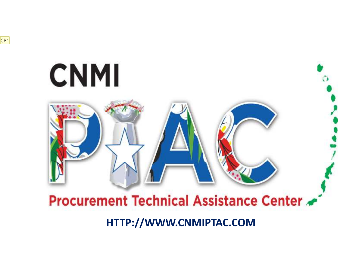

# **CNMI**

## Procurement Technical Assistance Center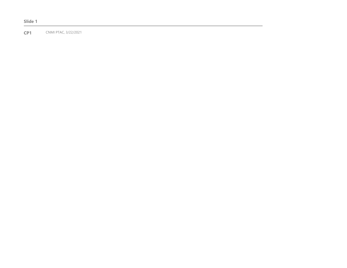**Slide 1**

**CP1** CNMI PTAC, 3/22/2021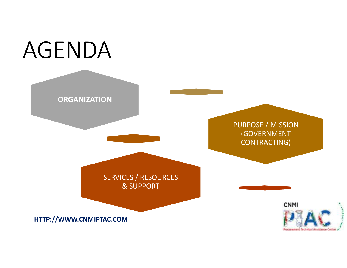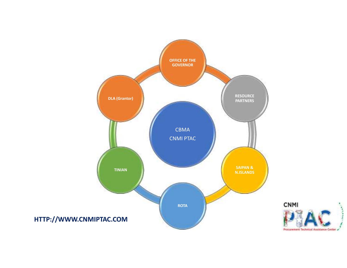

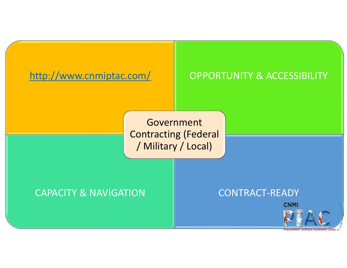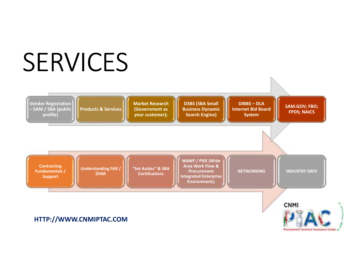# SERVICES



Procurement Technical Assistance Ce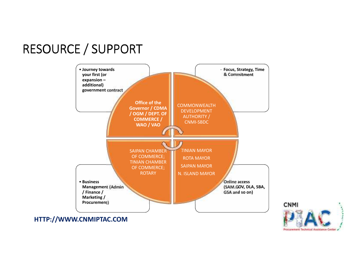### RESOURCE / SUPPORT



**CNMI** Procurrement Technical Akaistance Cerr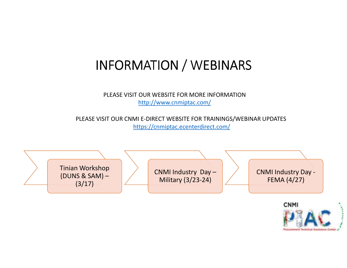### INFORMATION / WEBINARS

PLEASE VISIT OUR WEBSITE FOR MORE INFORMATIONhttp://www.cnmiptac.com/

PLEASE VISIT OUR CNMI E-DIRECT WEBSITE FOR TRAININGS/WEBINAR UPDATEShttps://cnmiptac.ecenterdirect.com/